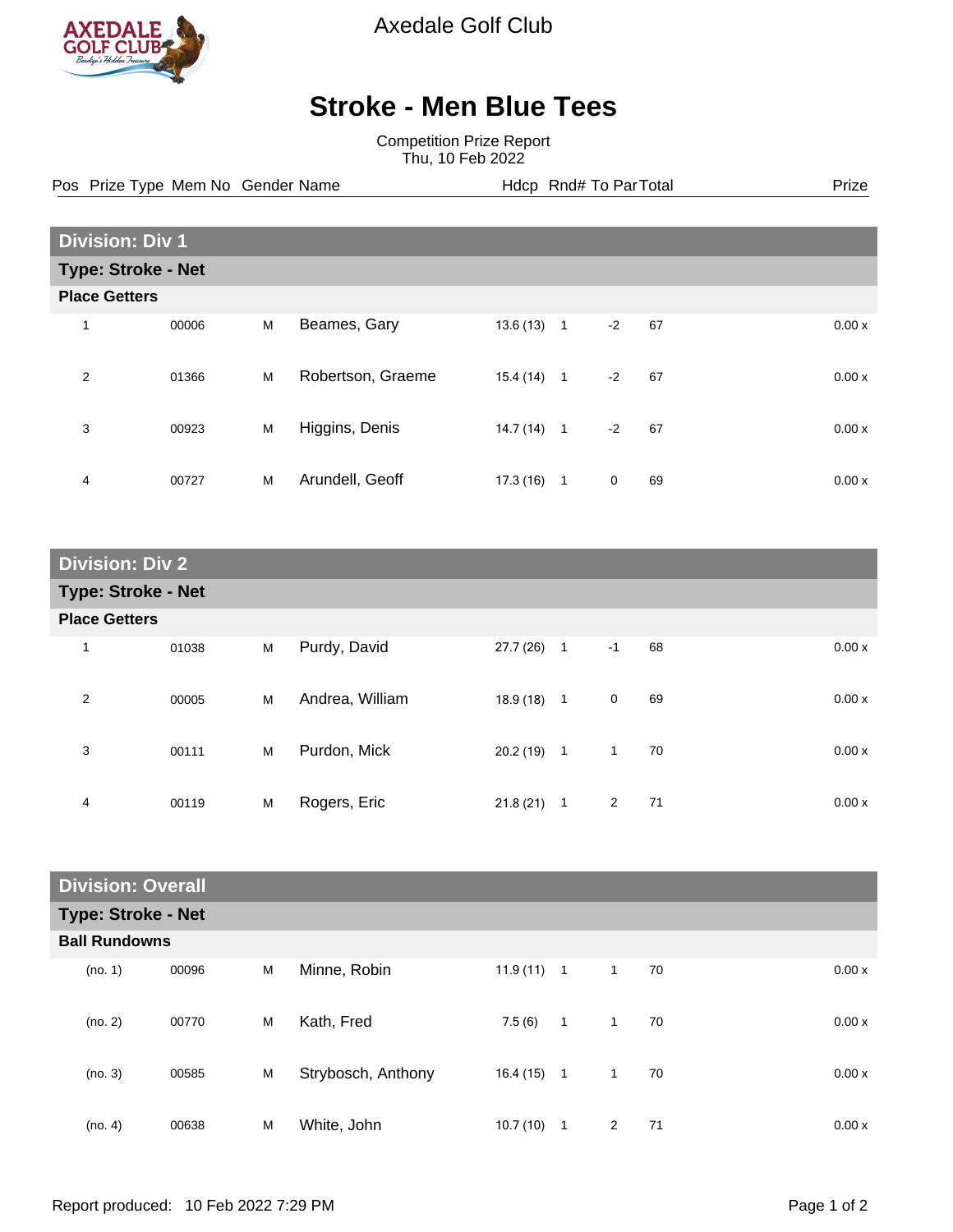

Axedale Golf Club

## **Stroke - Men Blue Tees**

Competition Prize Report Thu, 10 Feb 2022

Pos Prize Type Mem No Gender Name **Health Hotel Rnd# To ParTotal** Prize

| <b>Division: Div 1</b>    |                      |   |                   |           |              |             |    |  |       |
|---------------------------|----------------------|---|-------------------|-----------|--------------|-------------|----|--|-------|
| <b>Type: Stroke - Net</b> |                      |   |                   |           |              |             |    |  |       |
|                           | <b>Place Getters</b> |   |                   |           |              |             |    |  |       |
| 1                         | 00006                | M | Beames, Gary      | 13.6(13)  | $\mathbf{1}$ | $-2$        | 67 |  | 0.00x |
| 2                         | 01366                | M | Robertson, Graeme | 15.4(14)  | $\mathbf{1}$ | $-2$        | 67 |  | 0.00x |
| 3                         | 00923                | M | Higgins, Denis    | 14.7(14)  | $\mathbf{1}$ | $-2$        | 67 |  | 0.00x |
| 4                         | 00727                | M | Arundell, Geoff   | 17.3 (16) | 1            | $\mathbf 0$ | 69 |  | 0.00x |

| <b>Division: Div 2</b>    |       |   |                 |              |                |                      |       |  |
|---------------------------|-------|---|-----------------|--------------|----------------|----------------------|-------|--|
| <b>Type: Stroke - Net</b> |       |   |                 |              |                |                      |       |  |
| <b>Place Getters</b>      |       |   |                 |              |                |                      |       |  |
| 1                         | 01038 | M | Purdy, David    | 27.7(26)     | $\overline{1}$ | 68<br>$-1$           | 0.00x |  |
| $\overline{2}$            | 00005 | M | Andrea, William | $18.9(18)$ 1 |                | $\mathbf 0$<br>69    | 0.00x |  |
| 3                         | 00111 | M | Purdon, Mick    | $20.2(19)$ 1 |                | $\mathbf{1}$<br>70   | 0.00x |  |
| 4                         | 00119 | M | Rogers, Eric    | 21.8(21)     | $\mathbf 1$    | $\overline{2}$<br>71 | 0.00x |  |

| <b>Division: Overall</b>  |                      |   |                    |              |              |              |    |       |
|---------------------------|----------------------|---|--------------------|--------------|--------------|--------------|----|-------|
| <b>Type: Stroke - Net</b> |                      |   |                    |              |              |              |    |       |
|                           | <b>Ball Rundowns</b> |   |                    |              |              |              |    |       |
| (no. 1)                   | 00096                | M | Minne, Robin       | $11.9(11)$ 1 |              | $\mathbf{1}$ | 70 | 0.00x |
| (no. 2)                   | 00770                | M | Kath, Fred         | 7.5(6)       | $\mathbf{1}$ | $\mathbf{1}$ | 70 | 0.00x |
| (no. 3)                   | 00585                | M | Strybosch, Anthony | 16.4 (15)    | $\mathbf{1}$ | $\mathbf{1}$ | 70 | 0.00x |
| (no. 4)                   | 00638                | M | White, John        | 10.7(10)     | $\mathbf{1}$ | 2            | 71 | 0.00x |